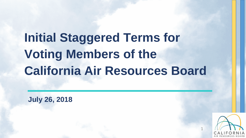# **Initial Staggered Terms for Voting Members of the California Air Resources Board**

**July 26, 2018** 

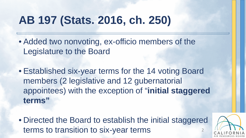# **AB 197 (Stats. 2016, ch. 250)**

- Added two nonvoting, ex-officio members of the Legislature to the Board
- Established six-year terms for the 14 voting Board members (2 legislative and 12 gubernatorial appointees) with the exception of "**initial staggered terms"**
- Directed the Board to establish the initial staggered terms to transition to six-year terms

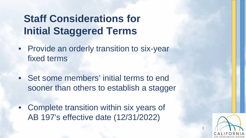### **Staff Considerations for Initial Staggered Terms**

- Provide an orderly transition to six-year fixed terms
- • Set some members' initial terms to end sooner than others to establish a stagger
- • Complete transition within six years of AB 197's effective date (12/31/2022)

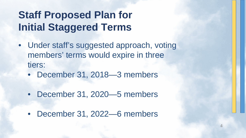## **Staff Proposed Plan for Initial Staggered Terms**

- • Under staff's suggested approach, voting members' terms would expire in three tiers:
	- December 31, 2018—3 members
	- December 31, 2020—5 members
	- December 31, 2022—6 members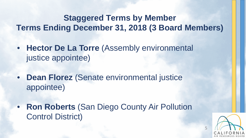#### **Terms Ending December 31, 2018 (3 Board Members) Staggered Terms by Member**

- **Hector De La Torre** (Assembly environmental justice appointee)
- **Dean Florez** (Senate environmental justice appointee)
- **Ron Roberts** (San Diego County Air Pollution Control District)

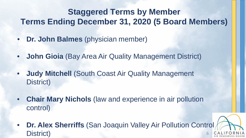#### **Staggered Terms by Member Terms Ending December 31, 2020 (5 Board Members)**

- **Dr. John Balmes** (physician member)
- **John Gioia** (Bay Area Air Quality Management District)
- **Judy Mitchell** (South Coast Air Quality Management District)
- **Chair Mary Nichols** (law and experience in air pollution control)
- **CALIFORNIA**  AIR RESOURCES BOARD  • **Dr. Alex Sherriffs** (San Joaquin Valley Air Pollution Control District)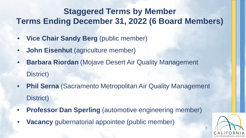#### **Staggered Terms by Member Terms Ending December 31, 2022 (6 Board Members)**

- **Vice Chair Sandy Berg** (public member)
- **John Eisenhut** (agriculture member)
- • **Barbara Riordan** (Mojave Desert Air Quality Management District)
- **Phil Serna** (Sacramento Metropolitan Air Quality Management District)
- **Professor Dan Sperling** (automotive engineering member)
- **Vacancy** gubernatorial appointee (public member)